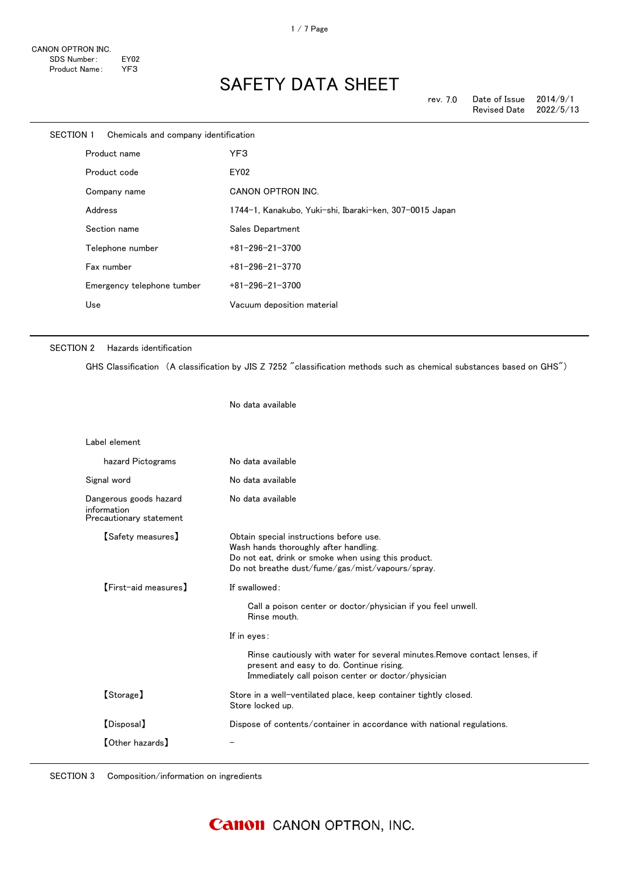| SECTION 1 | Chemicals and company identification |                                                         |
|-----------|--------------------------------------|---------------------------------------------------------|
|           | Product name                         | YF3                                                     |
|           | Product code                         | EY02                                                    |
|           | Company name                         | CANON OPTRON INC.                                       |
|           | Address                              | 1744-1, Kanakubo, Yuki-shi, Ibaraki-ken, 307-0015 Japan |
|           | Section name                         | Sales Department                                        |
|           | Telephone number                     | $+81 - 296 - 21 - 3700$                                 |
|           | Fax number                           | $+81 - 296 - 21 - 3770$                                 |
|           | Emergency telephone tumber           | $+81 - 296 - 21 - 3700$                                 |
|           | Use                                  | Vacuum deposition material                              |
|           |                                      |                                                         |

#### SECTION 2 Hazards identification

GHS Classification (A classification by JIS Z 7252 "classification methods such as chemical substances based on GHS")

No data available

| Label element                                                    |                                                                                                                                                                                                                                                                                              |
|------------------------------------------------------------------|----------------------------------------------------------------------------------------------------------------------------------------------------------------------------------------------------------------------------------------------------------------------------------------------|
| hazard Pictograms                                                | No data available                                                                                                                                                                                                                                                                            |
| Signal word                                                      | No data available                                                                                                                                                                                                                                                                            |
| Dangerous goods hazard<br>information<br>Precautionary statement | No data available                                                                                                                                                                                                                                                                            |
| 【Safety measures】                                                | Obtain special instructions before use.<br>Wash hands thoroughly after handling.<br>Do not eat, drink or smoke when using this product.<br>Do not breathe dust/fume/gas/mist/vapours/spray.                                                                                                  |
| [First-aid measures]                                             | If swallowed:<br>Call a poison center or doctor/physician if you feel unwell.<br>Rinse mouth.<br>If in eyes:<br>Rinse cautiously with water for several minutes. Remove contact lenses, if<br>present and easy to do. Continue rising.<br>Immediately call poison center or doctor/physician |
| [Storage]                                                        | Store in a well-ventilated place, keep container tightly closed.<br>Store locked up.                                                                                                                                                                                                         |
| [Disposal]                                                       | Dispose of contents/container in accordance with national regulations.                                                                                                                                                                                                                       |
| [Other hazards]                                                  |                                                                                                                                                                                                                                                                                              |

SECTION 3 Composition/information on ingredients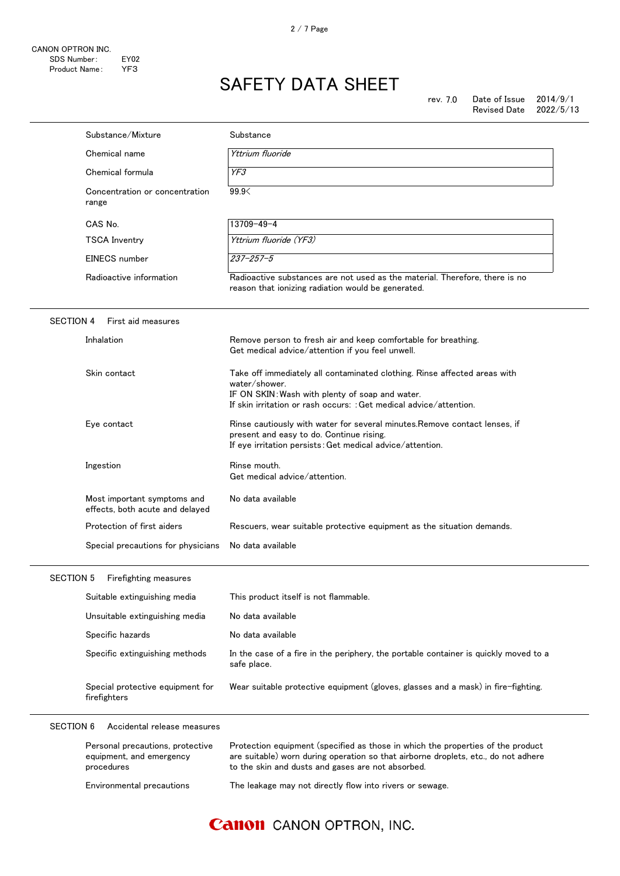|                  | Substance/Mixture                                                          | Substance                                                                                                                                                                                                                  |
|------------------|----------------------------------------------------------------------------|----------------------------------------------------------------------------------------------------------------------------------------------------------------------------------------------------------------------------|
|                  | Chemical name                                                              | Yttrium fluoride                                                                                                                                                                                                           |
|                  | Chemical formula                                                           | YF3                                                                                                                                                                                                                        |
|                  | Concentration or concentration<br>range                                    | 99.9                                                                                                                                                                                                                       |
|                  | CAS No.                                                                    | 13709-49-4                                                                                                                                                                                                                 |
|                  | <b>TSCA Inventry</b>                                                       | Yttrium fluoride (YF3)                                                                                                                                                                                                     |
|                  | EINECS number                                                              | $237 - 257 - 5$                                                                                                                                                                                                            |
|                  | Radioactive information                                                    | Radioactive substances are not used as the material. Therefore, there is no<br>reason that ionizing radiation would be generated.                                                                                          |
| <b>SECTION 4</b> | First aid measures                                                         |                                                                                                                                                                                                                            |
|                  | Inhalation                                                                 | Remove person to fresh air and keep comfortable for breathing.<br>Get medical advice/attention if you feel unwell.                                                                                                         |
|                  | Skin contact                                                               | Take off immediately all contaminated clothing. Rinse affected areas with<br>water/shower.<br>IF ON SKIN: Wash with plenty of soap and water.<br>If skin irritation or rash occurs: : Get medical advice/attention.        |
|                  | Eye contact                                                                | Rinse cautiously with water for several minutes. Remove contact lenses, if<br>present and easy to do. Continue rising.<br>If eye irritation persists: Get medical advice/attention.                                        |
|                  | Ingestion                                                                  | Rinse mouth.<br>Get medical advice/attention.                                                                                                                                                                              |
|                  | Most important symptoms and<br>effects, both acute and delayed             | No data available                                                                                                                                                                                                          |
|                  | Protection of first aiders                                                 | Rescuers, wear suitable protective equipment as the situation demands.                                                                                                                                                     |
|                  | Special precautions for physicians                                         | No data available                                                                                                                                                                                                          |
| <b>SECTION 5</b> | Firefighting measures                                                      |                                                                                                                                                                                                                            |
|                  | Suitable extinguishing media                                               | This product itself is not flammable.                                                                                                                                                                                      |
|                  | Unsuitable extinguishing media                                             | No data available                                                                                                                                                                                                          |
|                  | Specific hazards                                                           | No data available                                                                                                                                                                                                          |
|                  | Specific extinguishing methods                                             | In the case of a fire in the periphery, the portable container is quickly moved to a<br>safe place.                                                                                                                        |
|                  | Special protective equipment for<br>firefighters                           | Wear suitable protective equipment (gloves, glasses and a mask) in fire-fighting.                                                                                                                                          |
| <b>SECTION 6</b> | Accidental release measures                                                |                                                                                                                                                                                                                            |
|                  | Personal precautions, protective<br>equipment, and emergency<br>procedures | Protection equipment (specified as those in which the properties of the product<br>are suitable) worn during operation so that airborne droplets, etc., do not adhere<br>to the skin and dusts and gases are not absorbed. |
|                  | Environmental precautions                                                  | The leakage may not directly flow into rivers or sewage.                                                                                                                                                                   |

### **Canon** CANON OPTRON, INC.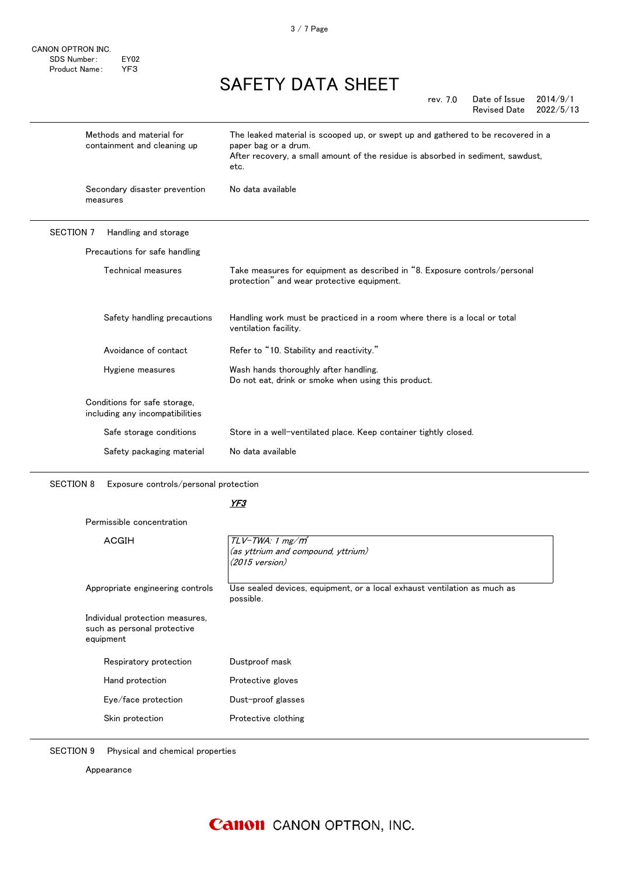CANON OPTRON INC. SDS Number: EY02 Product Name: YF3

## SAFETY DATA SHEET

|           |                                                         | Date of Issue<br>2014/9/1<br>rev. 7.0<br>2022/5/13<br>Revised Date                                                                                                                                    |
|-----------|---------------------------------------------------------|-------------------------------------------------------------------------------------------------------------------------------------------------------------------------------------------------------|
|           | Methods and material for<br>containment and cleaning up | The leaked material is scooped up, or swept up and gathered to be recovered in a<br>paper bag or a drum.<br>After recovery, a small amount of the residue is absorbed in sediment, sawdust,<br>etc.   |
|           | Secondary disaster prevention<br>measures               | No data available                                                                                                                                                                                     |
| SECTION 7 | Handling and storage                                    |                                                                                                                                                                                                       |
|           | Precautions for safe handling                           |                                                                                                                                                                                                       |
|           | Technical measures                                      | Take measures for equipment as described in "8. Exposure controls/personal<br>protection" and wear protective equipment.                                                                              |
|           | Safety handling precautions                             | Handling work must be practiced in a room where there is a local or total<br>$\mathbf{r} = \mathbf{r} + \mathbf{r}$ , $\mathbf{r} = \mathbf{r} + \mathbf{r}$ , $\mathbf{r} = \mathbf{r} + \mathbf{r}$ |

|                                                                 | ventilation facility.                                                                        |
|-----------------------------------------------------------------|----------------------------------------------------------------------------------------------|
| Avoidance of contact                                            | Refer to "10. Stability and reactivity."                                                     |
| Hygiene measures                                                | Wash hands thoroughly after handling.<br>Do not eat, drink or smoke when using this product. |
| Conditions for safe storage,<br>including any incompatibilities |                                                                                              |
| Safe storage conditions                                         | Store in a well-ventilated place. Keep container tightly closed.                             |
| Safety packaging material                                       | No data available                                                                            |

SECTION 8 Exposure controls/personal protection

#### YF3

Permissible concentration

| ACGIH                                                                       | $TLV$ -TWA: 1 mg/m <sup>3</sup><br>(as yttrium and compound, yttrium)<br>$(2015 \text{ version})$ |
|-----------------------------------------------------------------------------|---------------------------------------------------------------------------------------------------|
| Appropriate engineering controls                                            | Use sealed devices, equipment, or a local exhaust ventilation as much as<br>possible.             |
| Individual protection measures,<br>such as personal protective<br>equipment |                                                                                                   |
| Respiratory protection                                                      | Dustproof mask                                                                                    |
| Hand protection                                                             | Protective gloves                                                                                 |
| Eye/face protection                                                         | Dust-proof glasses                                                                                |
| Skin protection                                                             | Protective clothing                                                                               |
|                                                                             |                                                                                                   |

SECTION 9 Physical and chemical properties

Appearance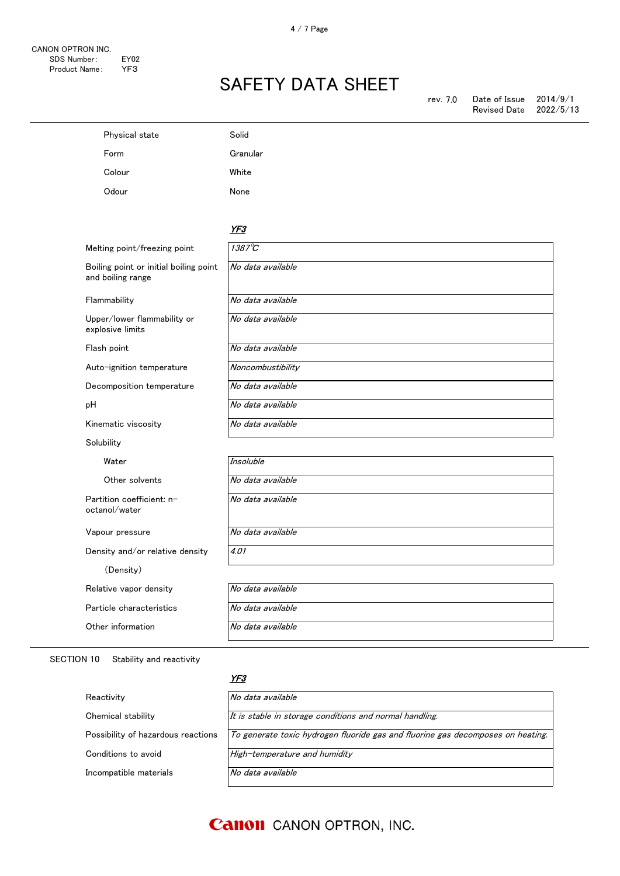| Physical state                                              | Solid             |
|-------------------------------------------------------------|-------------------|
| Form                                                        | Granular          |
| Colour                                                      | White             |
| Odour                                                       | None              |
|                                                             | YF3               |
| Melting point/freezing point                                | $1387^{\circ}$ C  |
| Boiling point or initial boiling point<br>and boiling range | No data available |
| Flammability                                                | No data available |
| Upper/lower flammability or<br>explosive limits             | No data available |
| Flash point                                                 | No data available |
| Auto-ignition temperature                                   | Noncombustibility |
| Decomposition temperature                                   | No data available |
| рH                                                          | No data available |
| Kinematic viscosity                                         | No data available |
| Solubility                                                  |                   |
| Water                                                       | Insoluble         |
| Other solvents                                              | No data available |
| Partition coefficient: n-<br>octanol/water                  | No data available |
| Vapour pressure                                             | No data available |
| Density and/or relative density                             | 4.01              |
| (Density)                                                   |                   |
| Relative vapor density                                      | No data available |
| Particle characteristics                                    | No data available |
| Other information                                           | No data available |

#### SECTION 10 Stability and reactivity

#### YF3

| Reactivity                         | No data available                                                               |
|------------------------------------|---------------------------------------------------------------------------------|
| Chemical stability                 | It is stable in storage conditions and normal handling.                         |
| Possibility of hazardous reactions | To generate toxic hydrogen fluoride gas and fluorine gas decomposes on heating. |
| Conditions to avoid                | High-temperature and humidity                                                   |
| Incompatible materials             | No data available                                                               |

### **Canon** CANON OPTRON, INC.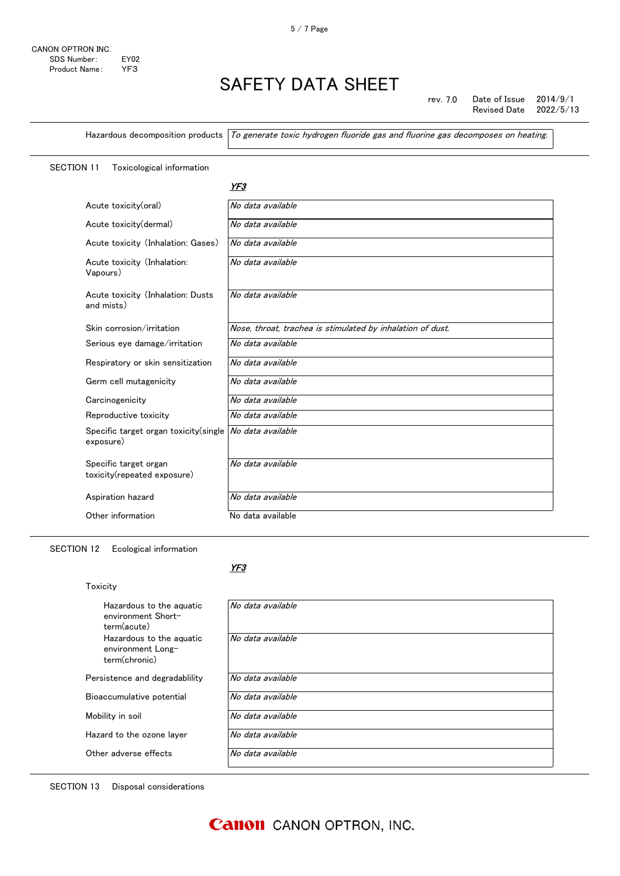rev. 7.0 Date of Issue 2014/9/1<br>Revised Date 2022/5/13 Revised Date

Hazardous decomposition products  $\sqrt{T}$  generate toxic hydrogen fluoride gas and fluorine gas decomposes on heating.

### SECTION 11 Toxicological information

YF3

| Acute toxicity(oral)                                 | No data available                                          |
|------------------------------------------------------|------------------------------------------------------------|
| Acute toxicity(dermal)                               | No data available                                          |
| Acute toxicity (Inhalation: Gases)                   | No data available                                          |
| Acute toxicity (Inhalation:<br>Vapours)              | No data available                                          |
| Acute toxicity (Inhalation: Dusts<br>and mists)      | No data available                                          |
| Skin corrosion/irritation                            | Nose, throat, trachea is stimulated by inhalation of dust. |
| Serious eye damage/irritation                        | No data available                                          |
| Respiratory or skin sensitization                    | No data available                                          |
| Germ cell mutagenicity                               | No data available                                          |
| Carcinogenicity                                      | No data available                                          |
| Reproductive toxicity                                | No data available                                          |
| Specific target organ toxicity (single<br>exposure)  | No data available                                          |
| Specific target organ<br>toxicity(repeated exposure) | No data available                                          |
| Aspiration hazard                                    | No data available                                          |
| Other information                                    | No data available                                          |

SECTION 12 Ecological information

#### YF3

| Toxicity                                                       |                   |
|----------------------------------------------------------------|-------------------|
| Hazardous to the aguatic<br>environment Short-<br>term(acute)  | No data available |
| Hazardous to the aguatic<br>environment Long-<br>term(chronic) | No data available |
| Persistence and degradability                                  | No data available |
| Bioaccumulative potential                                      | No data available |
| Mobility in soil                                               | No data available |
| Hazard to the ozone layer                                      | No data available |
| Other adverse effects                                          | No data available |
|                                                                |                   |

SECTION 13 Disposal considerations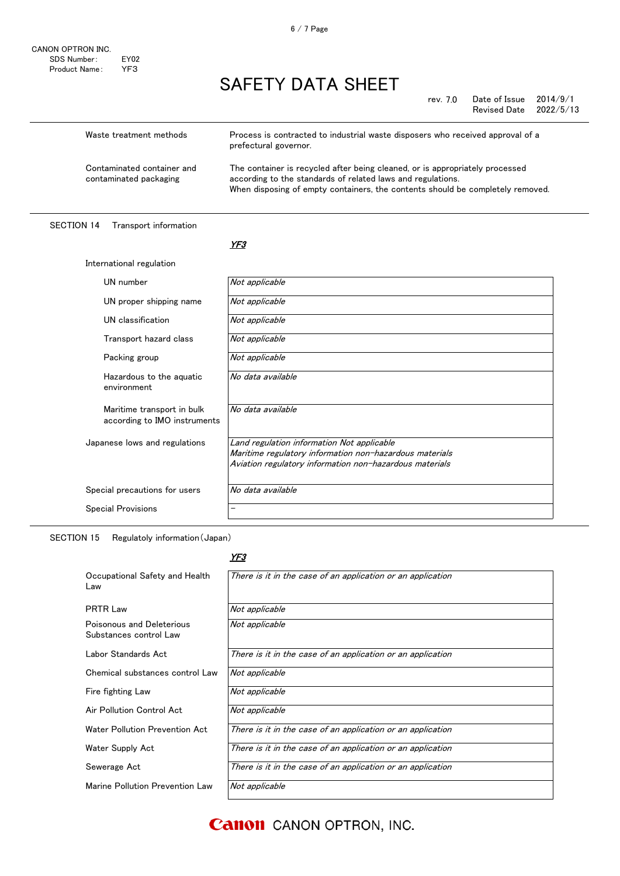rev. 7.0 Date of Issue 2014/9/1<br>Revised Date 2022/5/13 Revised Date

| Waste treatment methods                              | Process is contracted to industrial waste disposers who received approval of a<br>prefectural governor.                                                                                                                       |
|------------------------------------------------------|-------------------------------------------------------------------------------------------------------------------------------------------------------------------------------------------------------------------------------|
| Contaminated container and<br>contaminated packaging | The container is recycled after being cleaned, or is appropriately processed<br>according to the standards of related laws and regulations.<br>When disposing of empty containers, the contents should be completely removed. |

SECTION 14 Transport information

International regulation

#### <u>YF3</u>

| UN number                                                  | Not applicable                                                                                                                                                   |
|------------------------------------------------------------|------------------------------------------------------------------------------------------------------------------------------------------------------------------|
| UN proper shipping name                                    | Not applicable                                                                                                                                                   |
| UN classification                                          | Not applicable                                                                                                                                                   |
| Transport hazard class                                     | Not applicable                                                                                                                                                   |
| Packing group                                              | Not applicable                                                                                                                                                   |
| Hazardous to the aguatic<br>environment                    | No data available                                                                                                                                                |
| Maritime transport in bulk<br>according to IMO instruments | No data available                                                                                                                                                |
| Japanese lows and regulations                              | Land regulation information Not applicable<br>Maritime regulatory information non-hazardous materials<br>Aviation regulatory information non-hazardous materials |
| Special precautions for users                              | No data available                                                                                                                                                |
| <b>Special Provisions</b>                                  |                                                                                                                                                                  |

SECTION 15 Regulatoly information(Japan)

#### YF3

| Occupational Safety and Health<br>Law               | There is it in the case of an application or an application |
|-----------------------------------------------------|-------------------------------------------------------------|
| PRTR Law                                            | Not applicable                                              |
| Poisonous and Deleterious<br>Substances control Law | Not applicable                                              |
| Labor Standards Act                                 | There is it in the case of an application or an application |
| Chemical substances control Law                     | Not applicable                                              |
| Fire fighting Law                                   | Not applicable                                              |
| Air Pollution Control Act                           | Not applicable                                              |
| Water Pollution Prevention Act                      | There is it in the case of an application or an application |
| Water Supply Act                                    | There is it in the case of an application or an application |
| Sewerage Act                                        | There is it in the case of an application or an application |
| Marine Pollution Prevention Law                     | Not applicable                                              |

6 / 7 Page

**Canon** CANON OPTRON, INC.